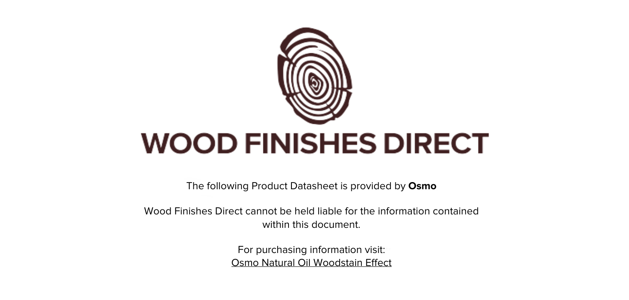

The following Product Datasheet is provided by **Osmo**

Wood Finishes Direct cannot be held liable for the information contained within this document

> For purchasing information visit: [Osmo Natural Oil Woodstain Effect](https://www.wood-finishes-direct.com/product/osmo-natural-oil-woodstain-effect)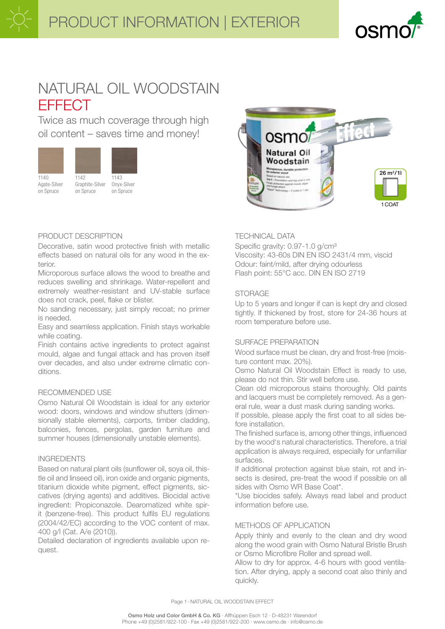

# NATURAL OIL WOODSTAIN **EFFECT**

Twice as much coverage through high oil content - saves time and money!



Agate-Silver

on Spruce



1142 Graphite-Silver on Spruce





# PRODUCT DESCRIPTION

Decorative, satin wood protective finish with metallic effects based on natural oils for any wood in the exterior

Microporous surface allows the wood to breathe and reduces swelling and shrinkage. Water-repellent and extremely weather-resistant and UV-stable surface does not crack, peel, flake or blister.

No sanding necessary, just simply recoat; no primer is needed.

Easy and seamless application. Finish stays workable while coating.

Finish contains active ingredients to protect against mould, algae and fungal attack and has proven itself over decades, and also under extreme climatic conditions.

# RECOMMENDED USE

Osmo Natural Oil Woodstain is ideal for any exterior wood: doors, windows and window shutters (dimensionally stable elements), carports, timber cladding, balconies, fences, pergolas, garden furniture and summer houses (dimensionally unstable elements).

# **INGREDIENTS**

Based on natural plant oils (sunflower oil, soya oil, thistle oil and linseed oil), iron oxide and organic pigments, titanium dioxide white pigment, effect pigments, siccatives (drying agents) and additives. Biocidal active ingredient: Propiconazole. Dearomatized white spirit (benzene-free). This product fulfils EU regulations (2004/42/EC) according to the VOC content of max. 400 g/l (Cat. A/e (2010)).

Detailed declaration of ingredients available upon request.

# **TECHNICAL DATA**

Specific gravity: 0.97-1.0 g/cm<sup>3</sup> Viscosity: 43-60s DIN EN ISO 2431/4 mm, viscid Odour: faint/mild, after drving odourless Flash point: 55°C acc. DIN EN ISO 2719

# **STORAGE**

Up to 5 years and longer if can is kept dry and closed tightly. If thickened by frost, store for 24-36 hours at room temperature before use.

#### SURFACE PREPARATION

Wood surface must be clean, dry and frost-free (moisture content max. 20%).

Osmo Natural Oil Woodstain Effect is ready to use, please do not thin. Stir well before use.

Clean old microporous stains thoroughly. Old paints and lacquers must be completely removed. As a general rule, wear a dust mask during sanding works.

If possible, please apply the first coat to all sides before installation.

The finished surface is, among other things, influenced by the wood's natural characteristics. Therefore, a trial application is always required, especially for unfamiliar surfaces.

If additional protection against blue stain, rot and insects is desired, pre-treat the wood if possible on all sides with Osmo WR Base Coat\*.

\*Use biocides safely. Always read label and product information before use.

# METHODS OF APPLICATION

Apply thinly and evenly to the clean and dry wood along the wood grain with Osmo Natural Bristle Brush or Osmo Microfibre Roller and spread well.

Allow to dry for approx. 4-6 hours with good ventilation. After drying, apply a second coat also thinly and quickly.